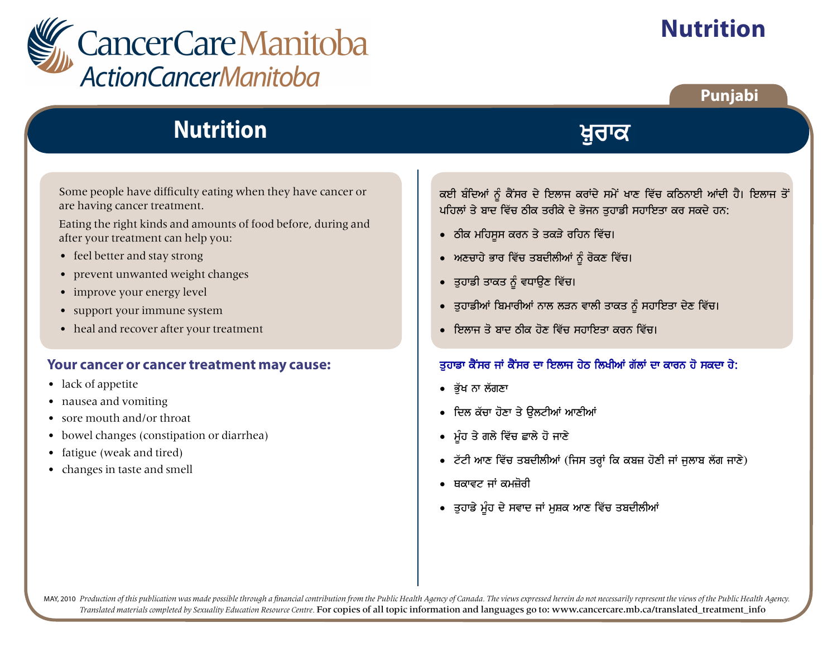

### Punjabi

### **Nutrition**

Some people have difficulty eating when they have cancer or are having cancer treatment.

Eating the right kinds and amounts of food before, during and after your treatment can help you:

- feel better and stay strong
- prevent unwanted weight changes  $\bullet$
- improve your energy level
- support your immune system
- heal and recover after your treatment

#### Your cancer or cancer treatment may cause:

- lack of appetite
- nausea and vomiting
- sore mouth and/or throat
- bowel changes (constipation or diarrhea)
- fatigue (weak and tired)
- changes in taste and smell

ਕਈ ਬੰਦਿਆਂ ਨੂੰ ਕੈਂਸਰ ਦੇ ਇਲਾਜ ਕਰਾਂਦੇ ਸਮੇਂ ਖਾਣ ਵਿੱਚ ਕਠਿਨਾਈ ਆਂਦੀ ਹੈ। ਇਲਾਜ ਤੋਂ ਪਹਿਲਾਂ ਤੇ ਬਾਦ ਵਿੱਚ ਠੀਕ ਤਰੀਕੇ ਦੇ ਭੋਜਨ ਤੁਹਾਡੀ ਸਹਾਇਤਾ ਕਰ ਸਕਦੇ ਹਨ:

ਖ਼ੁਰਾਕ

- ਠੀਕ ਮਹਿਸੁਸ ਕਰਨ ਤੇ ਤਕੜੇ ਰਹਿਨ ਵਿੱਚ।
- ਅਣਚਾਹੇ ਭਾਰ ਵਿੱਚ ਤਬਦੀਲੀਆਂ ਨੂੰ ਰੋਕਣ ਵਿੱਚ।
- ਤੁਹਾਡੀ ਤਾਕਤ ਨੂੰ ਵਧਾਉਣ ਵਿੱਚ।
- ਤੁਹਾਡੀਆਂ ਬਿਮਾਰੀਆਂ ਨਾਲ ਲੜਨ ਵਾਲੀ ਤਾਕਤ ਨੂੰ ਸਹਾਇਤਾ ਦੇਣ ਵਿੱਚ।
- ਇਲਾਜ ਤੋ ਬਾਦ ਠੀਕ ਹੋਣ ਵਿੱਚ ਸਹਾਇਤਾ ਕਰਨ ਵਿੱਚ।

#### ਤਹਾਡਾ ਕੈਂਸਰ ਜਾਂ ਕੈਂਸਰ ਦਾ ਇਲਾਜ ਹੇਠ ਲਿਖੀਆਂ ਗੱਲਾਂ ਦਾ ਕਾਰਨ ਹੋ ਸਕਦਾ ਹੇ:

- ਭੁੱਖ ਨਾ ਲੱਗਣਾ
- ਦਿਲ ਕੱਚਾ ਹੋਣਾ ਤੇ ਉਲਟੀਆਂ ਆਣੀਆਂ
- ਮੂੰਹ ਤੇ ਗਲੇ ਵਿੱਚ ਛਾਲੇ ਹੋ ਜਾਣੇ
- ਟੱਟੀ ਆਣ ਵਿੱਚ ਤਬਦੀਲੀਆਂ (ਜਿਸ ਤਰ੍ਹਾਂ ਕਿ ਕਬਜ਼ ਹੋਣੀ ਜਾਂ ਜੁਲਾਬ ਲੱਗ ਜਾਣੇ)
- ਥਕਾਵਟ ਜਾਂ ਕਮਜ਼ੋਰੀ
- ਤੁਹਾਡੇ ਮੂੰਹ ਦੇ ਸਵਾਦ ਜਾਂ ਮੁਸ਼ਕ ਆਣ ਵਿੱਚ ਤਬਦੀਲੀਆਂ

MAY, 2010 Production of this publication was made possible through a financial contribution from the Public Health Agency of Canada. The views expressed herein do not necessarily represent the views of the Public Health Ag Translated materials completed by Sexuality Education Resource Centre. For copies of all topic information and languages go to: www.cancercare.mb.ca/translated treatment info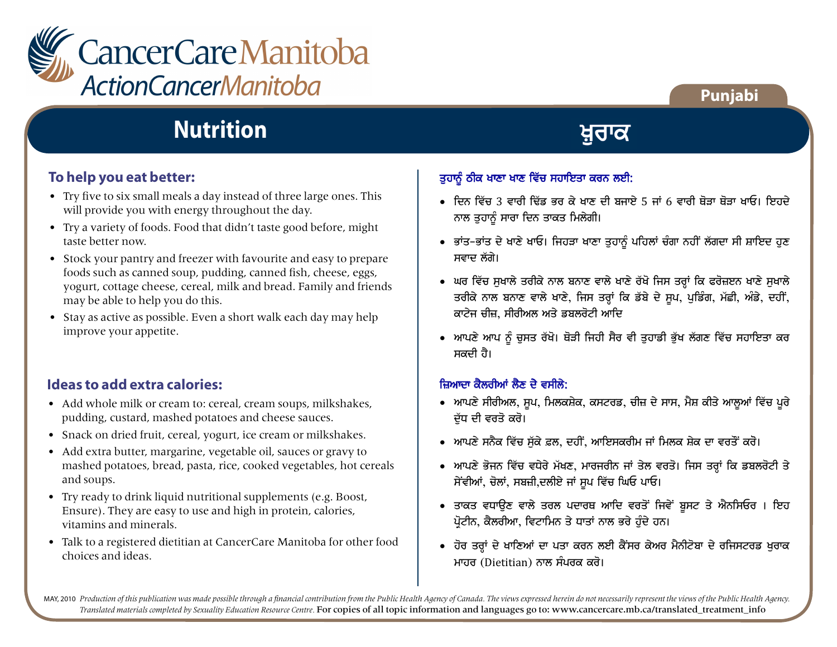

#### **To help you eat better:**

- Try five to six small meals a day instead of three large ones. This will provide you with energy throughout the day.
- Try a variety of foods. Food that didn't taste good before, might taste better now.
- Stock your pantry and freezer with favourite and easy to prepare foods such as canned soup, pudding, canned fish, cheese, eggs, yogurt, cottage cheese, cereal, milk and bread. Family and friends may be able to help you do this.
- Stay as active as possible. Even a short walk each day may help improve your appetite.

#### **Ideas to add extra calories:**

- Add whole milk or cream to: cereal, cream soups, milkshakes, pudding, custard, mashed potatoes and cheese sauces.
- Snack on dried fruit, cereal, yogurt, ice cream or milkshakes.
- Add extra butter, margarine, vegetable oil, sauces or gravy to mashed potatoes, bread, pasta, rice, cooked vegetables, hot cereals and soups.
- Try ready to drink liquid nutritional supplements (e.g. Boost, Ensure). They are easy to use and high in protein, calories, vitamins and minerals.
- Talk to a registered dietitian at CancerCare Manitoba for other food choices and ideas.

#### ਤੁਹਾਨੂੰ ਠੀਕ ਖਾਣਾ ਖਾਣ ਵਿੱਚ ਸਹਾਇਤਾ ਕਰਨ ਲਈ:

• ਦਿਨ ਵਿੱਚ 3 ਵਾਰੀ ਢਿੱਡ ਭਰ ਕੇ ਖਾਣ ਦੀ ਬਜਾਏ 5 ਜਾਂ 6 ਵਾਰੀ ਥੋੜਾ ਥੋੜਾ ਖਾਓ। ਇਹਦੇ ਨਾਲ ਤਹਾਨੂੰ ਸਾਰਾ ਦਿਨ ਤਾਕਤ ਮਿਲੇਗੀ।

ਖ਼ੁਰਾਕ

**Punjabi**

- ਭਾਂਤ-ਭਾਂਤ ਦੇ ਖਾਣੇ ਖਾਓ। ਜਿਹੜਾ ਖਾਣਾ ਤੁਹਾਨੂੰ ਪਹਿਲਾਂ ਚੰਗਾ ਨਹੀਂ ਲੱਗਦਾ ਸੀ ਸ਼ਾਇਦ ਹੁਣ ਸਵਾਦ ਲੱਗੇ।
- ਘਰ ਵਿੱਚ ਸਖਾਲੇ ਤਰੀਕੇ ਨਾਲ ਬਨਾਣ ਵਾਲੇ ਖਾਣੇ ਰੱਖੋ ਜਿਸ ਤਰਾਂ ਕਿ ਫਰੋਜ਼ੲਨ ਖਾਣੇ ਸਖਾਲੇ ਤਰੀਕੇ ਨਾਲ ਬਨਾਣ ਵਾਲੇ ਖਾਣੇ, ਜਿਸ ਤਰ੍ਹਾਂ ਕਿ ਡੱਬੇ ਦੇ ਸੁਪ, ਪਡਿੰਗ, ਮੱਛੀ, ਅੰਡੇ, ਦਹੀਂ, ਕਾਟੇਜ ਚੀਜ਼. ਸੀਰੀਅਲ ਅਤੇ ਡਬਲਰੋਟੀ ਆਦਿ
- ਆਪਣੇ ਆਪ ਨੂੰ ਚੁਸਤ ਰੱਖੋ। ਥੋੜੀ ਜਿਹੀ ਸੈਰ ਵੀ ਤੁਹਾਡੀ ਭੁੱਖ ਲੱਗਣ ਵਿੱਚ ਸਹਾਇਤਾ ਕਰ ਸਕਦੀ ਹੈ।

#### ਜ਼ਿਆਦਾ ਕੈਲਰੀਆਂ ਲੈਣ ਦੇ ਵਸੀਲੇ:

- ਆਪਣੇ ਸੀਰੀਅਲ, ਸੁਪ, ਮਿਲਕਸ਼ੇਕ, ਕਸਟਰਡ, ਚੀਜ਼ ਦੇ ਸਾਸ, ਮੈਸ਼ ਕੀਤੇ ਆਲੂਆਂ ਵਿੱਚ ਪੂਰੇ ਦੱਧ ਦੀ ਵਰਤੋ ਕਰੋ।
- ਆਪਣੇ ਸਨੈਕ ਵਿੱਚ ਸੱਕੇ ਫ਼ਲ, ਦਹੀਂ, ਆਇਸਕਰੀਮ ਜਾਂ ਮਿਲਕ ਸ਼ੇਕ ਦਾ ਵਰਤੋਂ ਕਰੋ।
- ਆਪਣੇ ਭੋਜਨ ਵਿੱਚ ਵਧੇਰੇ ਮੱਖਣ, ਮਾਰਜਰੀਨ ਜਾਂ ਤੇਲ ਵਰਤੋ। ਜਿਸ ਤਰ੍ਹਾਂ ਕਿ ਡਬਲਰੋਟੀ ਤੇ ਸੇਂਵੀਆਂ, ਚੋਲਾਂ, ਸਬਜ਼ੀ,ਦਲੀਏ ਜਾਂ ਸਪ ਵਿੱਚ ਘਿਓ ਪਾਓ।
- ਤਾਕਤ ਵਧਾੳਣ ਵਾਲੇ ਤਰਲ ਪਦਾਰਥ ਆਦਿ ਵਰਤੋਂ ਜਿਵੇਂ ਬੁਸਟ ਤੇ ਐਨਸਿਓਰ । ਇਹ ਪੋਟੀਨ, ਕੈਲਰੀਆ, ਵਿਟਾਮਿਨ ਤੇ ਧਾਤਾਂ ਨਾਲ ਭਰੇ ਹੁੰਦੇ ਹਨ।
- ਹੋਰ ਤਰ੍ਹਾਂ ਦੇ ਖਾਣਿਆਂ ਦਾ ਪਤਾ ਕਰਨ ਲਈ ਕੈਂਸਰ ਕੇਅਰ ਮੈਨੀਟੋਬਾ ਦੇ ਰਜਿਸਟਰਡ ਖੁਰਾਕ ਮਾਹਰ (Dietitian) ਨਾਲ ਸੰਪਰਕ ਕਰੋ।

MAY, 2010 Production of this publication was made possible through a financial contribution from the Public Health Agency of Canada. The views expressed herein do not necessarily represent the views of the Public Health Ag *Translated materials completed by Sexuality Education Resource Centre.* For copies of all topic information and languages go to: www.cancercare.mb.ca/translated\_treatment\_info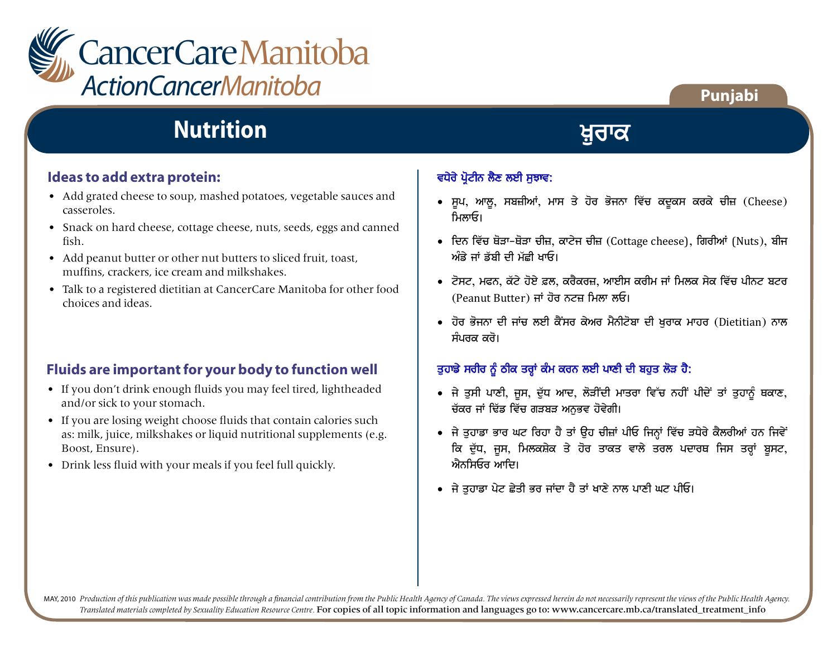

#### **Ideas to add extra protein:**

- Add grated cheese to soup, mashed potatoes, vegetable sauces and casseroles.
- Snack on hard cheese, cottage cheese, nuts, seeds, eggs and canned fish.
- Add peanut butter or other nut butters to sliced fruit, toast, muffins, crackers, ice cream and milkshakes.
- Talk to a registered dietitian at CancerCare Manitoba for other food choices and ideas.

#### **Fluids are important for your body to function well**

- If you don't drink enough fluids you may feel tired, lightheaded and/or sick to your stomach.
- If you are losing weight choose fluids that contain calories such as: milk, juice, milkshakes or liquid nutritional supplements (e.g. Boost, Ensure).
- Drink less fluid with your meals if you feel full quickly.

#### ਵਧੇਰੇ ਪ੍ਰੋਟੀਨ ਲੈਣ ਲਈ ਸੁਝਾਵ:

• ਸੁਪ, ਆਲੂ, ਸਬਜ਼ੀਆਂ, ਮਾਸ ਤੇ ਹੋਰ ਭੋਜਨਾ ਵਿੱਚ ਕਦੁਕਸ ਕਰਕੇ ਚੀਜ਼ (Cheese) ਮਿਲਾਓ।

ਖ਼ੁਰਾਕ

- ਦਿਨ ਵਿੱਚ ਥੋੜਾ-ਥੋੜਾ ਚੀਜ਼, ਕਾਟੇਜ ਚੀਜ਼ (Cottage cheese), ਗਿਰੀਆਂ (Nuts), ਬੀਜ ਅੰਡੇ ਜਾਂ ਡੱਬੀ ਦੀ ਮੱਛੀ ਖਾਓ।
- ਟੋਸਟ, ਮਫਨ, ਕੱਟੇ ਹੋਏ ਫ਼ਲ, ਕਰੈਕਰਜ਼, ਆਈਸ ਕਰੀਮ ਜਾਂ ਮਿਲਕ ਸੇਕ ਵਿੱਚ ਪੀਨਟ ਬਟਰ (Peanut Butter) ਜਾਂ ਹੋਰ ਨਟਜ਼ ਮਿਲਾ ਲਓ।
- ਹੋਰ ਭੋਜਨਾ ਦੀ ਜਾਂਚ ਲਈ ਕੈਂਸਰ ਕੇਅਰ ਮੈਨੀਟੋਬਾ ਦੀ ਖਰਾਕ ਮਾਹਰ (Dietitian) ਨਾਲ ਸੰਪਰਕ ਕਰੋ।

#### ਤੁਹਾਡੇ ਸਰੀਰ ਨੂੰ ਠੀਕ ਤਰ੍ਹਾਂ ਕੰਮ ਕਰਨ ਲਈ ਪਾਣੀ ਦੀ ਬਹੁਤ ਲੋੜ ਹੈ:

- ਜੇ ਤੁਸੀ ਪਾਣੀ, ਜੂਸ, ਦੁੱਧ ਆਦ, ਲੋੜੀਂਦੀ ਮਾਤਰਾ ਵਿੱਚ ਨਹੀਂ ਪੀਦੇਂ ਤਾਂ ਤੁਹਾਨੂੰ ਥਕਾਣ, ਚੱਕਰ ਜਾਂ ਢਿੱਡ ਵਿੱਚ ਗੜਬੜ ਅਨਭਵ ਹੋਵੇਗੀ।
- ਜੇ ਤਹਾਡਾ ਭਾਰ ਘਟ ਰਿਹਾ ਹੈ ਤਾਂ ੳਹ ਚੀਜ਼ਾਂ ਪੀਓ ਜਿਨ੍ਹਾਂ ਵਿੱਚ ੜਧੇਰੇ ਕੈਲਰੀਆਂ ਹਨ ਜਿਵੇਂ ਕਿ ਦੁੱਧ, ਜੂਸ, ਮਿਲਕਸ਼ੇਕ ਤੇ ਹੋਰ ਤਾਕਤ ਵਾਲੇ ਤਰਲ ਪਦਾਰਥ ਜਿਸ ਤਰ੍ਹਾਂ ਬੁਸਟ, ਐਨਸਿਓਰ ਆਦਿ।
- ਜੇ ਤਹਾਡਾ ਪੇਟ ਛੇਤੀ ਭਰ ਜਾਂਦਾ ਹੈ ਤਾਂ ਖਾਣੇ ਨਾਲ ਪਾਣੀ ਘਟ ਪੀਓ।

MAY, 2010 Production of this publication was made possible through a financial contribution from the Public Health Agency of Canada. The views expressed herein do not necessarily represent the views of the Public Health Ag *Translated materials completed by Sexuality Education Resource Centre.* For copies of all topic information and languages go to: www.cancercare.mb.ca/translated\_treatment\_info

**Punjabi**